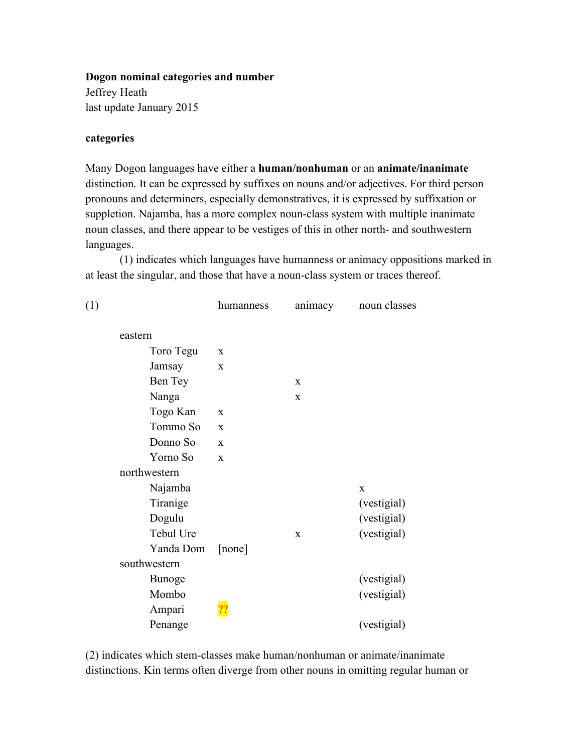### **Dogon nominal categories and number**

Jeffrey Heath last update January 2015

## **categories**

Many Dogon languages have either a **human/nonhuman** or an **animate/inanimate** distinction. It can be expressed by suffixes on nouns and/or adjectives. For third person pronouns and determiners, especially demonstratives, it is expressed by suffixation or suppletion. Najamba, has a more complex noun-class system with multiple inanimate noun classes, and there appear to be vestiges of this in other north- and southwestern languages.

(1) indicates which languages have humanness or animacy oppositions marked in at least the singular, and those that have a noun-class system or traces thereof.

| (1) |               | humanness      | animacy     | noun classes |
|-----|---------------|----------------|-------------|--------------|
|     | eastern       |                |             |              |
|     | Toro Tegu     | X              |             |              |
|     | Jamsay        | X              |             |              |
|     | Ben Tey       |                | X           |              |
|     | Nanga         |                | $\mathbf X$ |              |
|     | Togo Kan      | $\mathbf X$    |             |              |
|     | Tommo So      | X              |             |              |
|     | Donno So      | X              |             |              |
|     | Yorno So      | $\mathbf X$    |             |              |
|     | northwestern  |                |             |              |
|     | Najamba       |                |             | $\mathbf X$  |
|     | Tiranige      |                |             | (vestigial)  |
|     | Dogulu        |                |             | (vestigial)  |
|     | Tebul Ure     |                | $\mathbf X$ | (vestigial)  |
|     | Yanda Dom     | [none]         |             |              |
|     | southwestern  |                |             |              |
|     | <b>Bunoge</b> |                |             | (vestigial)  |
|     | Mombo         |                |             | (vestigial)  |
|     | Ampari        | $\overline{?}$ |             |              |
|     | Penange       |                |             | (vestigial)  |

(2) indicates which stem-classes make human/nonhuman or animate/inanimate distinctions. Kin terms often diverge from other nouns in omitting regular human or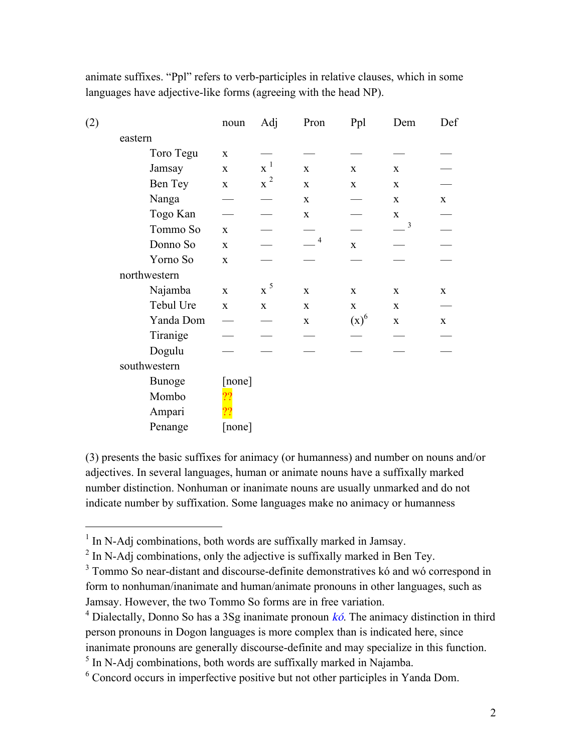| (2) |               | noun         | Adj                | Pron           | Ppl          | Dem         | Def          |
|-----|---------------|--------------|--------------------|----------------|--------------|-------------|--------------|
|     | eastern       |              |                    |                |              |             |              |
|     | Toro Tegu     | $\mathbf X$  |                    |                |              |             |              |
|     | Jamsay        | $\mathbf{X}$ | $\mathbf{x}^1$     | $\mathbf{X}$   | $\mathbf{X}$ | $\mathbf X$ |              |
|     | Ben Tey       | $\mathbf X$  | $\boldsymbol{x}^2$ | $\mathbf X$    | $\mathbf{X}$ | $\mathbf X$ |              |
|     | Nanga         |              |                    | $\mathbf X$    |              | $\mathbf X$ | $\mathbf X$  |
|     | Togo Kan      |              |                    | $\mathbf X$    |              | $\mathbf X$ |              |
|     | Tommo So      | $\mathbf{X}$ |                    |                |              | 3           |              |
|     | Donno So      | $\mathbf X$  |                    | $\overline{4}$ | $\mathbf X$  |             |              |
|     | Yorno So      | $\mathbf X$  |                    |                |              |             |              |
|     | northwestern  |              |                    |                |              |             |              |
|     | Najamba       | $\mathbf X$  | $\ge^5$            | $\mathbf X$    | $\mathbf{X}$ | $\mathbf X$ | $\mathbf{X}$ |
|     | Tebul Ure     | $\mathbf X$  | $\mathbf X$        | $\mathbf X$    | $\mathbf X$  | $\mathbf X$ |              |
|     | Yanda Dom     |              |                    | $\mathbf X$    | $(x)^6$      | $\mathbf X$ | $\mathbf X$  |
|     | Tiranige      |              |                    |                |              |             |              |
|     | Dogulu        |              |                    |                |              |             |              |
|     | southwestern  |              |                    |                |              |             |              |
|     | <b>Bunoge</b> | [none]       |                    |                |              |             |              |
|     | Mombo         |              |                    |                |              |             |              |
|     | Ampari        |              |                    |                |              |             |              |
|     | Penange       | [none]       |                    |                |              |             |              |

animate suffixes. "Ppl" refers to verb-participles in relative clauses, which in some languages have adjective-like forms (agreeing with the head NP).

(3) presents the basic suffixes for animacy (or humanness) and number on nouns and/or adjectives. In several languages, human or animate nouns have a suffixally marked number distinction. Nonhuman or inanimate nouns are usually unmarked and do not indicate number by suffixation. Some languages make no animacy or humanness

<sup>&</sup>lt;sup>1</sup> In N-Adj combinations, both words are suffixally marked in Jamsay.

 $2 \text{ In } N$ -Adj combinations, only the adjective is suffixally marked in Ben Tey.

<sup>&</sup>lt;sup>3</sup> Tommo So near-distant and discourse-definite demonstratives kó and wó correspond in form to nonhuman/inanimate and human/animate pronouns in other languages, such as Jamsay. However, the two Tommo So forms are in free variation.

<sup>&</sup>lt;sup>4</sup> Dialectally, Donno So has a 3Sg inanimate pronoun  $k\acute{o}$ . The animacy distinction in third person pronouns in Dogon languages is more complex than is indicated here, since inanimate pronouns are generally discourse-definite and may specialize in this function.

 $<sup>5</sup>$  In N-Adj combinations, both words are suffixally marked in Najamba.</sup>

<sup>6</sup> Concord occurs in imperfective positive but not other participles in Yanda Dom.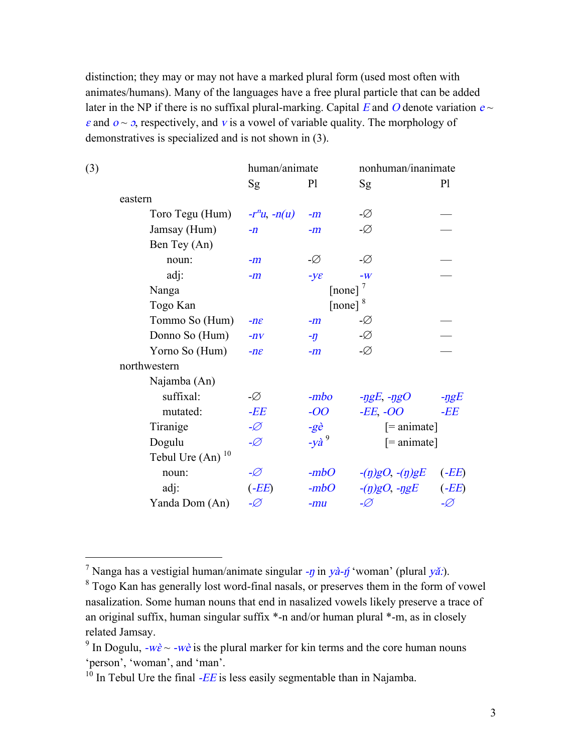distinction; they may or may not have a marked plural form (used most often with animates/humans). Many of the languages have a free plural particle that can be added later in the NP if there is no suffixal plural-marking. Capital E and O denote variation  $e \sim$  $\varepsilon$  and  $\sigma \sim \sigma$ , respectively, and v is a vowel of variable quality. The morphology of demonstratives is specialized and is not shown in (3).

| (3) |                                | human/animate      |                 | nonhuman/inanimate    |                |
|-----|--------------------------------|--------------------|-----------------|-----------------------|----------------|
|     |                                | Sg                 | P <sub>1</sub>  | Sg                    | P <sub>1</sub> |
|     | eastern                        |                    |                 |                       |                |
|     | Toro Tegu (Hum)                | $-r^n u$ , $-n(u)$ | $-m$            | -Ø                    |                |
|     | Jamsay (Hum)                   | $-n$               | $-m$            | -Ø                    |                |
|     | Ben Tey (An)                   |                    |                 |                       |                |
|     | noun:                          | $-m$               | -Ø              | -Ø                    |                |
|     | adj:                           | $-m$               | $-y\varepsilon$ | $-W$                  |                |
|     | Nanga                          |                    | [none] $^7$     |                       |                |
|     | Togo Kan                       |                    | [none] $^{8}$   |                       |                |
|     | Tommo So (Hum)                 | $-n\varepsilon$    | $-m$            | -Ø                    |                |
|     | Donno So (Hum)                 | $-nV$              | $-\eta$         | -Ø                    |                |
|     | Yorno So (Hum)                 | $-n\varepsilon$    | $-m$            | -Ø                    |                |
|     | northwestern                   |                    |                 |                       |                |
|     | Najamba (An)                   |                    |                 |                       |                |
|     | suffixal:                      | -Ø                 | $-mbo$          | $-ggE, -\eta gO$      | $-$ ŋg $E$     |
|     | mutated:                       | -EE                | $-OO$           | -EE, -OO              | -EE            |
|     | Tiranige                       | -Ø                 | $-g\grave{e}$   | $[=$ animate]         |                |
|     | Dogulu                         | -Ø                 | $-y\hat{a}^9$   | $[=$ animate]         |                |
|     | Tebul Ure $(An)$ <sup>10</sup> |                    |                 |                       |                |
|     | noun:                          | -Ø                 | $-mbO$          | $-(\eta)gO, -(n)gE$   | (EE)           |
|     | adj:                           | $(-EE)$            | $-mbO$          | $-(\eta)gO, -\eta gE$ | $(-EE)$        |
|     | Yanda Dom (An)                 | -Ø                 | $-mu$           | -Ø                    | -Ø             |

<sup>&</sup>lt;sup>7</sup> Nanga has a vestigial human/animate singular -*n* in yà-*n*́ 'woman' (plural yǎ:).

<sup>&</sup>lt;sup>8</sup> Togo Kan has generally lost word-final nasals, or preserves them in the form of vowel nasalization. Some human nouns that end in nasalized vowels likely preserve a trace of an original suffix, human singular suffix \*-n and/or human plural \*-m, as in closely related Jamsay.

<sup>&</sup>lt;sup>9</sup> In Dogulu,  $-w\hat{\epsilon} \sim -w\hat{\epsilon}$  is the plural marker for kin terms and the core human nouns 'person', 'woman', and 'man'.

 $10$  In Tebul Ure the final -EE is less easily segmentable than in Najamba.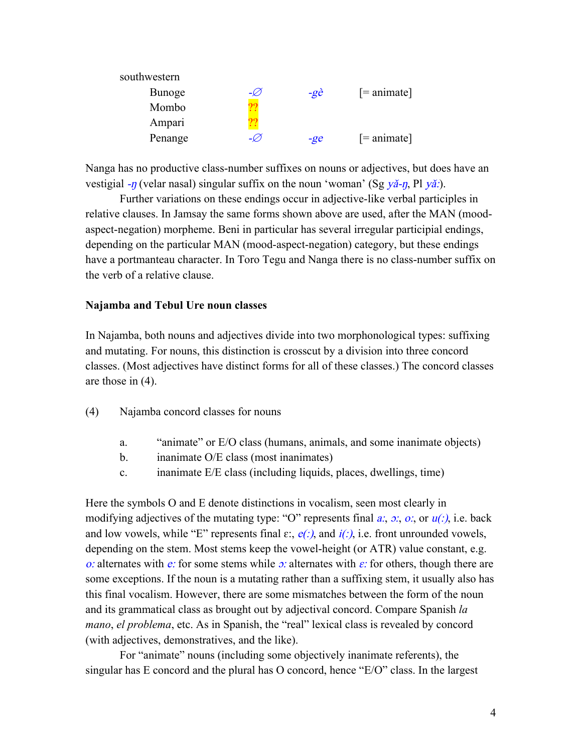| $-\mathcal{Q}$ | $-g\grave{e}$ | $[=$ animate] |
|----------------|---------------|---------------|
|                |               |               |
| Γ!             |               |               |
|                | $-g$ e        | $[=$ animate] |
|                |               |               |

Nanga has no productive class-number suffixes on nouns or adjectives, but does have an vestigial  $-\eta$  (velar nasal) singular suffix on the noun 'woman' (Sg  $y\ddot{a} - \eta$ , Pl  $y\ddot{a}$ .).

Further variations on these endings occur in adjective-like verbal participles in relative clauses. In Jamsay the same forms shown above are used, after the MAN (moodaspect-negation) morpheme. Beni in particular has several irregular participial endings, depending on the particular MAN (mood-aspect-negation) category, but these endings have a portmanteau character. In Toro Tegu and Nanga there is no class-number suffix on the verb of a relative clause.

### **Najamba and Tebul Ure noun classes**

In Najamba, both nouns and adjectives divide into two morphonological types: suffixing and mutating. For nouns, this distinction is crosscut by a division into three concord classes. (Most adjectives have distinct forms for all of these classes.) The concord classes are those in (4).

- (4) Najamba concord classes for nouns
	- a. "animate" or E/O class (humans, animals, and some inanimate objects)
	- b. inanimate O/E class (most inanimates)
	- c. inanimate E/E class (including liquids, places, dwellings, time)

Here the symbols O and E denote distinctions in vocalism, seen most clearly in modifying adjectives of the mutating type: "O" represents final  $a: \phi: \phi$ , or  $u(.)$  i.e. back and low vowels, while "E" represents final  $\varepsilon$ :,  $e(.)$  and  $i(.)$ , i.e. front unrounded vowels, depending on the stem. Most stems keep the vowel-height (or ATR) value constant, e.g. o: alternates with e: for some stems while  $\sigma$ : alternates with  $\varepsilon$ : for others, though there are some exceptions. If the noun is a mutating rather than a suffixing stem, it usually also has this final vocalism. However, there are some mismatches between the form of the noun and its grammatical class as brought out by adjectival concord. Compare Spanish *la mano*, *el problema*, etc. As in Spanish, the "real" lexical class is revealed by concord (with adjectives, demonstratives, and the like).

For "animate" nouns (including some objectively inanimate referents), the singular has E concord and the plural has O concord, hence "E/O" class. In the largest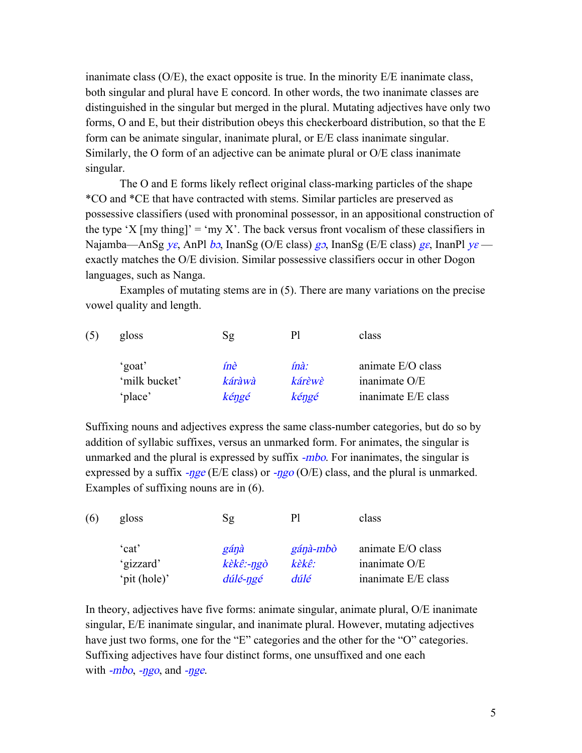inanimate class (O/E), the exact opposite is true. In the minority E/E inanimate class, both singular and plural have E concord. In other words, the two inanimate classes are distinguished in the singular but merged in the plural. Mutating adjectives have only two forms, O and E, but their distribution obeys this checkerboard distribution, so that the E form can be animate singular, inanimate plural, or E/E class inanimate singular. Similarly, the O form of an adjective can be animate plural or O/E class inanimate singular.

The O and E forms likely reflect original class-marking particles of the shape \*CO and \*CE that have contracted with stems. Similar particles are preserved as possessive classifiers (used with pronominal possessor, in an appositional construction of the type 'X [my thing]' = 'my X'. The back versus front vocalism of these classifiers in Najamba—AnSg ye, AnPl bo, InanSg (O/E class)  $g_0$ , InanSg (E/E class)  $g_{\varepsilon}$ , InanPl y $\varepsilon$  exactly matches the O/E division. Similar possessive classifiers occur in other Dogon languages, such as Nanga.

Examples of mutating stems are in (5). There are many variations on the precise vowel quality and length.

| (5) | gloss         | Sg         | PI     | class               |
|-----|---------------|------------|--------|---------------------|
|     | 'goat'        | <i>înè</i> | ínà:   | animate E/O class   |
|     | 'milk bucket' | káràwà     | kárèwè | inanimate O/E       |
|     | 'place'       | kéngé      | kéngé  | inanimate E/E class |

Suffixing nouns and adjectives express the same class-number categories, but do so by addition of syllabic suffixes, versus an unmarked form. For animates, the singular is unmarked and the plural is expressed by suffix -*mbo*. For inanimates, the singular is expressed by a suffix  $-\eta g e$  (E/E class) or  $-\eta g o$  (O/E) class, and the plural is unmarked. Examples of suffixing nouns are in (6).

| (6) | gloss        | Sg                                       | Pl       | class               |
|-----|--------------|------------------------------------------|----------|---------------------|
|     | 'cat'        | gánà                                     | gánà-mbò | animate E/O class   |
|     | 'gizzard'    | $k\grave{\epsilon}k\hat{\epsilon}$ :-ngò | kèkê:    | inanimate O/E       |
|     | 'pit (hole)' | dúlé-ngé                                 | dúlé     | inanimate E/E class |

In theory, adjectives have five forms: animate singular, animate plural, O/E inanimate singular, E/E inanimate singular, and inanimate plural. However, mutating adjectives have just two forms, one for the "E" categories and the other for the "O" categories. Suffixing adjectives have four distinct forms, one unsuffixed and one each with  $-mbo$ ,  $-ngo$ , and  $-nge$ .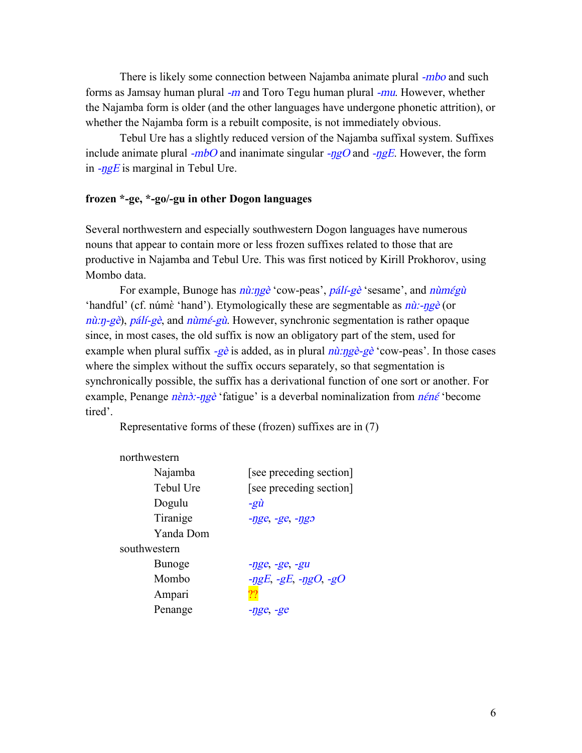There is likely some connection between Najamba animate plural -*mbo* and such forms as Jamsay human plural  $-m$  and Toro Tegu human plural  $-mu$ . However, whether the Najamba form is older (and the other languages have undergone phonetic attrition), or whether the Najamba form is a rebuilt composite, is not immediately obvious.

Tebul Ure has a slightly reduced version of the Najamba suffixal system. Suffixes include animate plural  $-mbO$  and inanimate singular  $-ngO$  and  $-ngE$ . However, the form in  $-ngE$  is marginal in Tebul Ure.

# **frozen \*-ge, \*-go/-gu in other Dogon languages**

Several northwestern and especially southwestern Dogon languages have numerous nouns that appear to contain more or less frozen suffixes related to those that are productive in Najamba and Tebul Ure. This was first noticed by Kirill Prokhorov, using Mombo data.

For example, Bunoge has  $n\hat{u}$ :ngè 'cow-peas', pálí-gè 'sesame', and  $n\hat{u}$ 'handful' (cf. númè 'hand'). Etymologically these are segmentable as  $n\hat{u}$ :- $n\hat{g}e$  (or  $n\hat{u}$ :n-gè), pálí-gè, and  $n\hat{u}$ mé-g $\hat{u}$ . However, synchronic segmentation is rather opaque since, in most cases, the old suffix is now an obligatory part of the stem, used for example when plural suffix  $-e\hat{e}$  is added, as in plural  $n\hat{u}$ :  $n\hat{g}e^2 - g\hat{e}$  'cow-peas'. In those cases where the simplex without the suffix occurs separately, so that segmentation is synchronically possible, the suffix has a derivational function of one sort or another. For example, Penange  $n\epsilon n\delta$ :-ngè 'fatigue' is a deverbal nominalization from  $n\epsilon n\epsilon$  'become tired'.

Representative forms of these (frozen) suffixes are in (7)

| northwestern  |                                         |
|---------------|-----------------------------------------|
| Najamba       | [see preceding section]                 |
| Tebul Ure     | [see preceding section]                 |
| Dogulu        | $-g\tilde{u}$                           |
| Tiranige      | $-nge$ , $-ge$ , $-ngo$                 |
| Yanda Dom     |                                         |
| southwestern  |                                         |
| <b>Bunoge</b> | $-nge, -ge, -gu$                        |
| Mombo         | $-\eta gE$ , $-gE$ , $-\eta gO$ , $-gO$ |
| Ampari        |                                         |
| Penange       | $-nge$ , $-ge$                          |
|               |                                         |